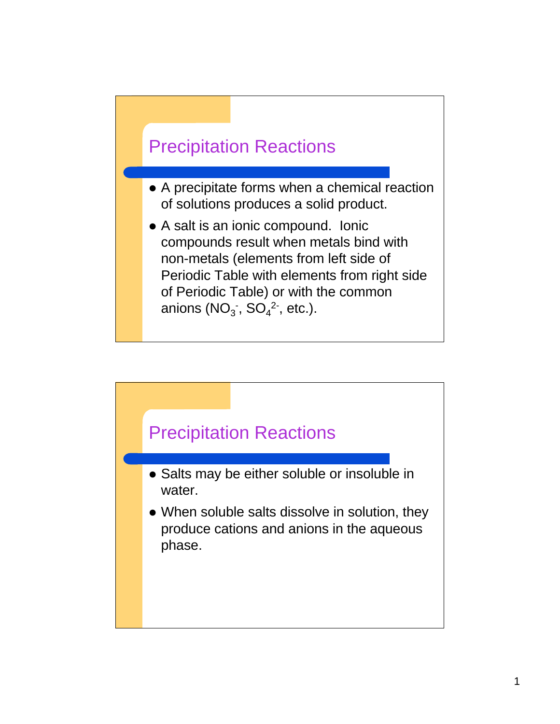

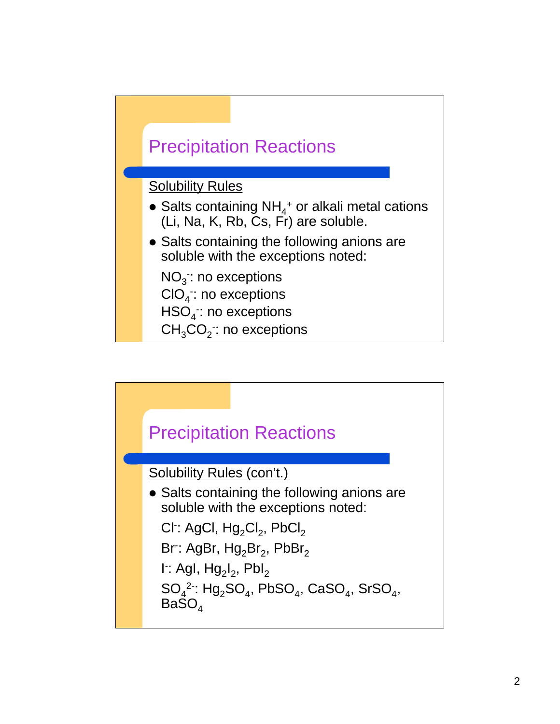

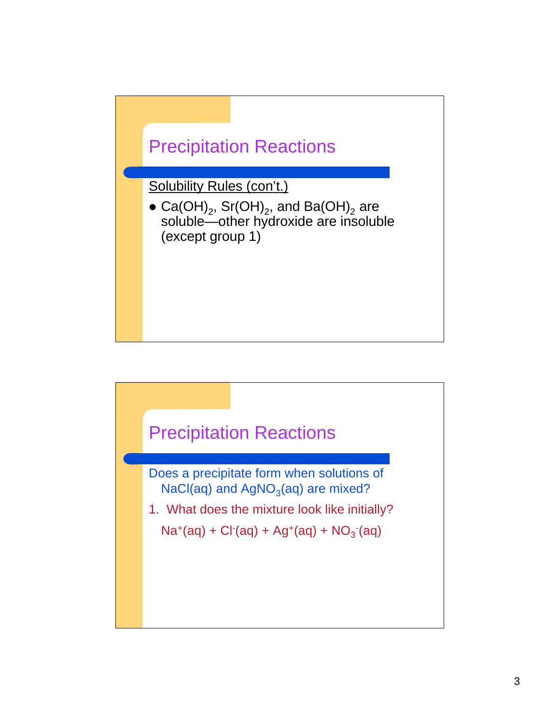

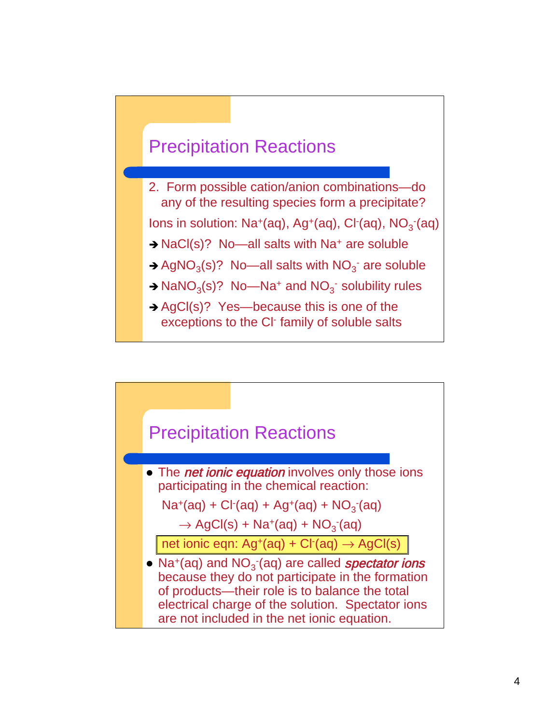

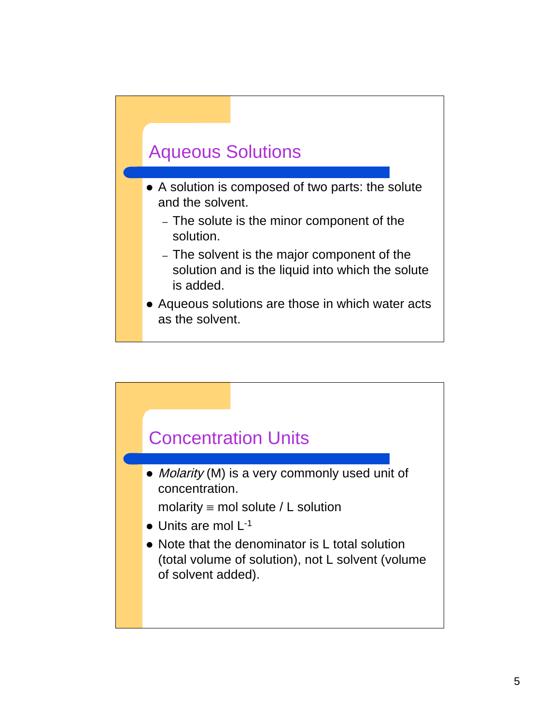### Aqueous Solutions

- A solution is composed of two parts: the solute and the solvent.
	- The solute is the minor component of the solution.
	- The solvent is the major component of the solution and is the liquid into which the solute is added.
- Aqueous solutions are those in which water acts as the solvent.

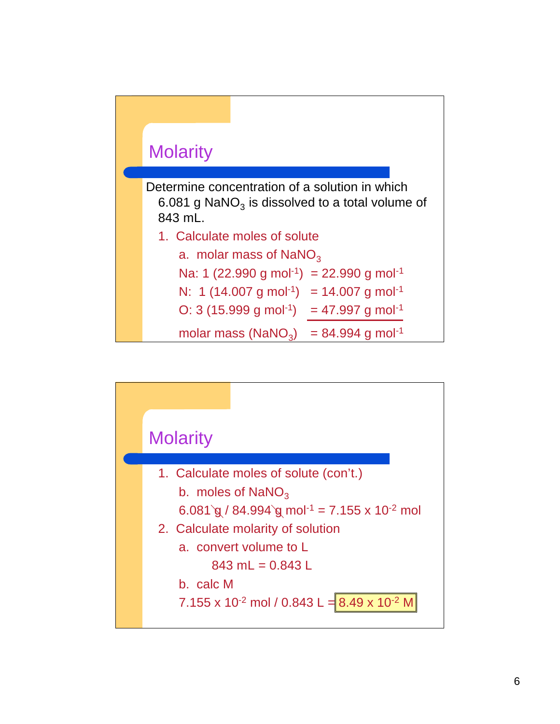

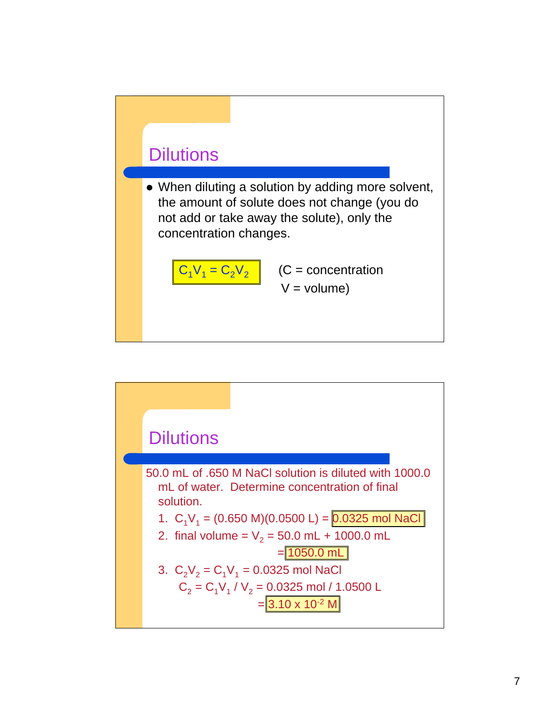

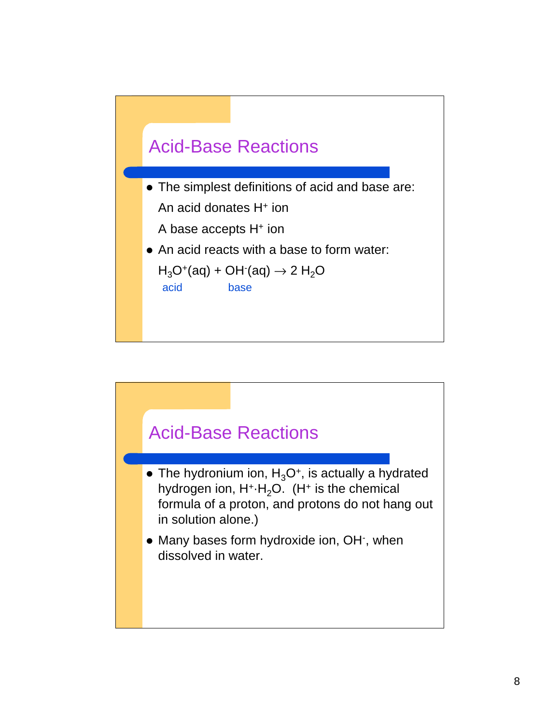

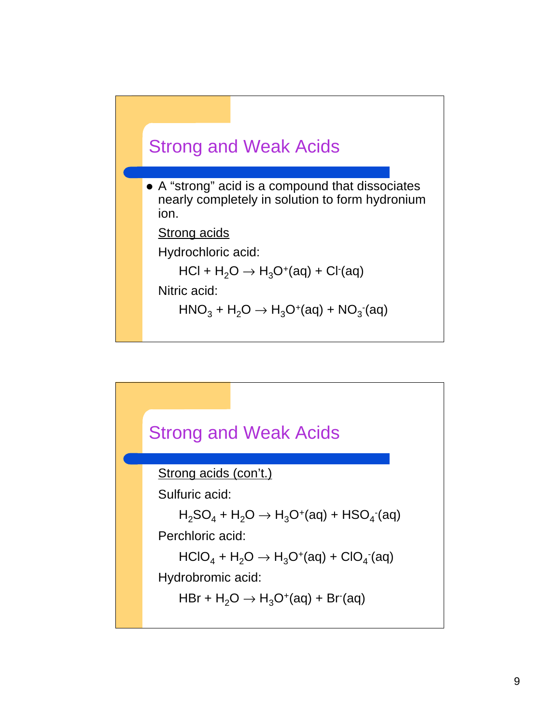

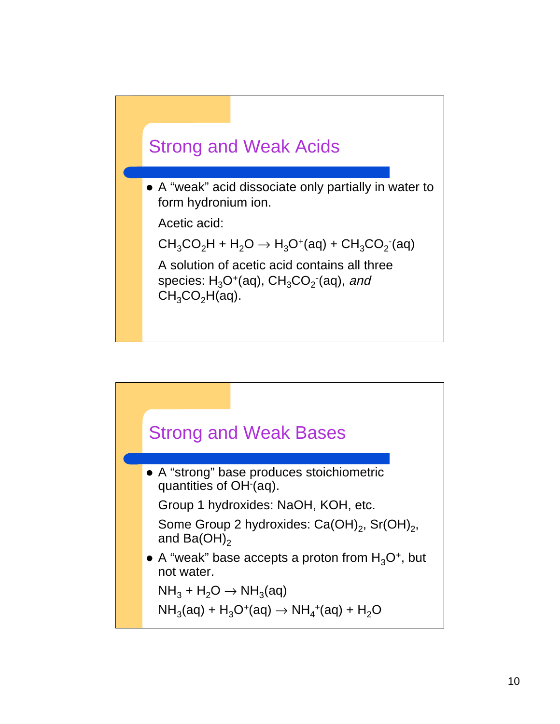

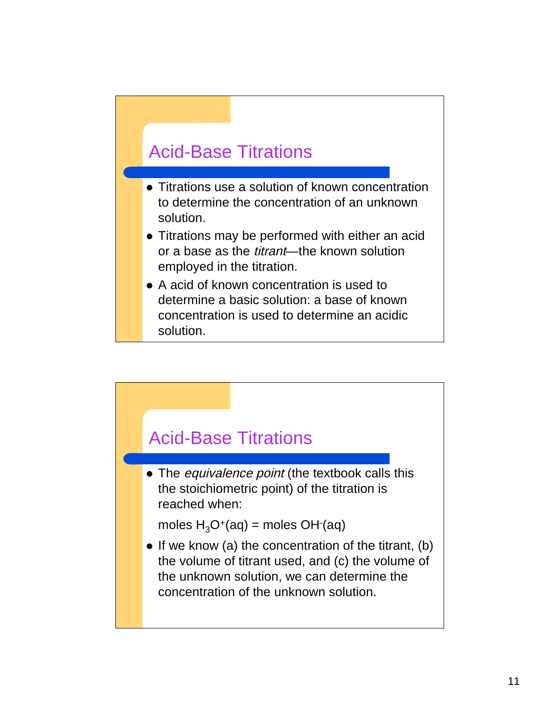### Acid-Base Titrations

- Titrations use a solution of known concentration to determine the concentration of an unknown solution.
- Titrations may be performed with either an acid or a base as the *titrant*—the known solution employed in the titration.
- A acid of known concentration is used to determine a basic solution: a base of known concentration is used to determine an acidic solution.

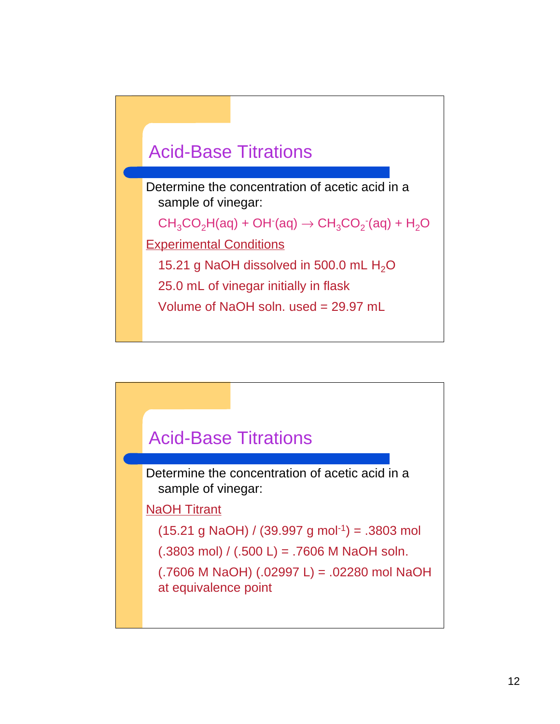

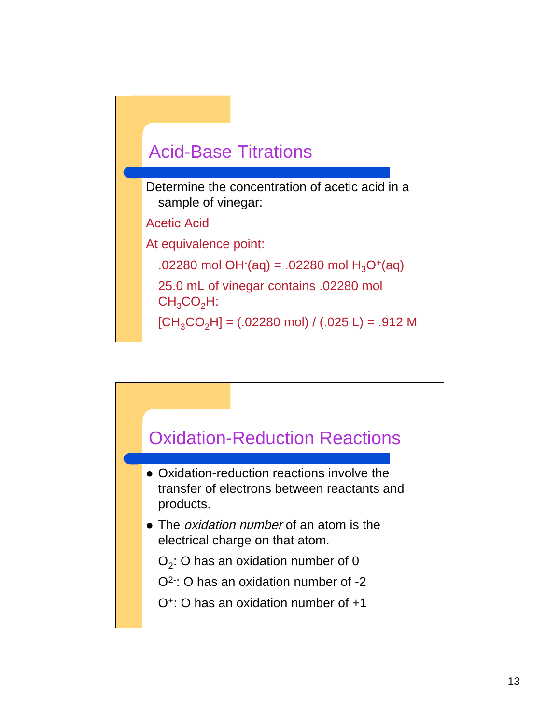

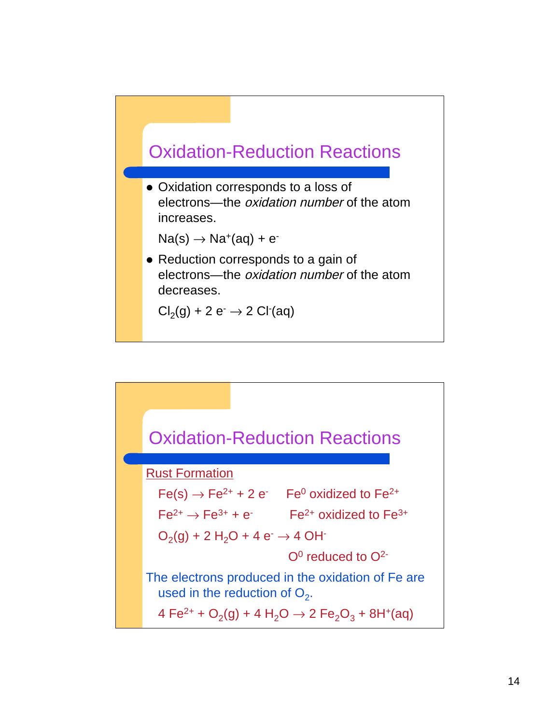

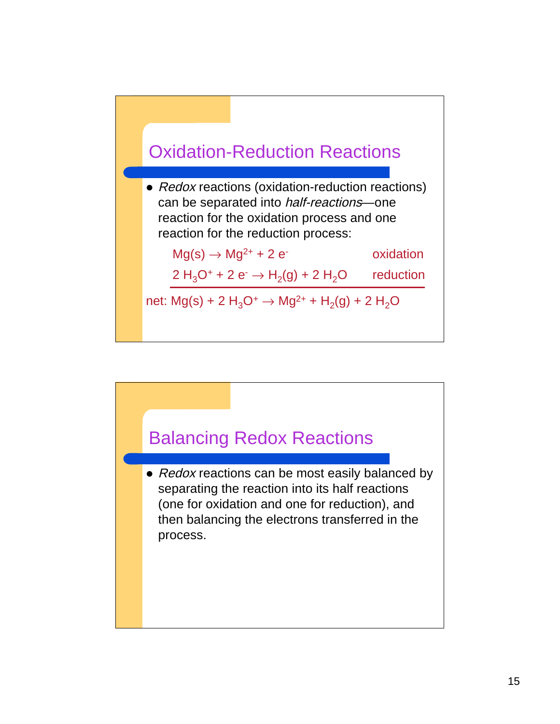

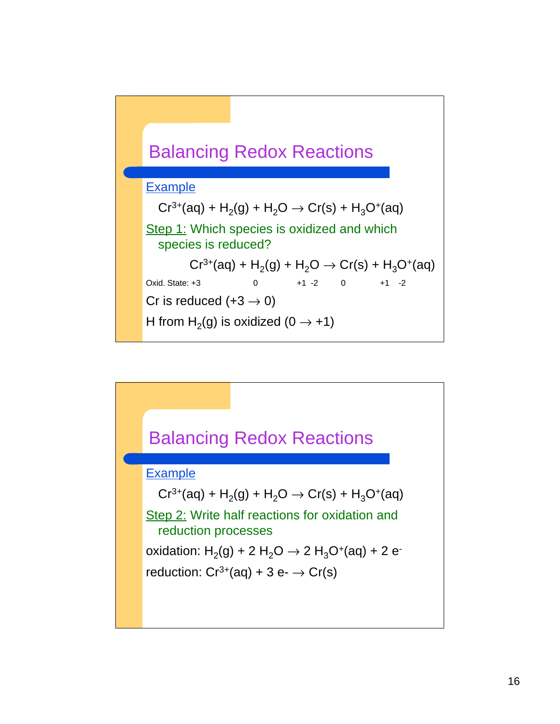

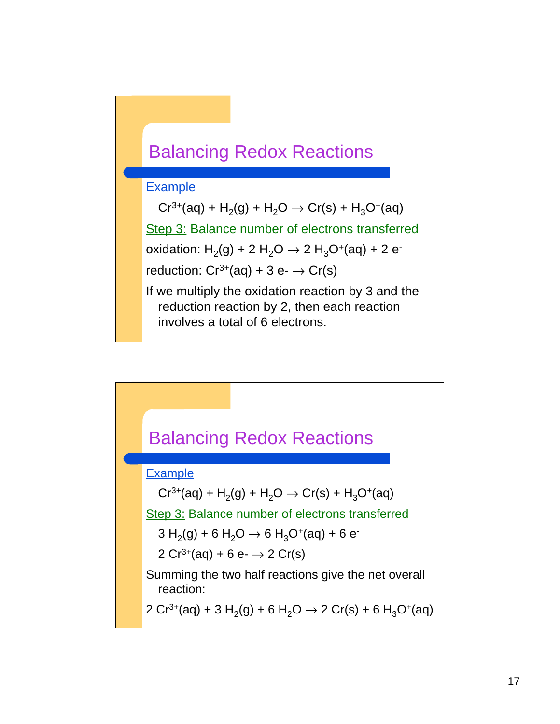

#### Example

 $Cr^{3+}(aq) + H_2(q) + H_2O \rightarrow Cr(s) + H_3O^+(aq)$ Step 3: Balance number of electrons transferred oxidation:  $H_2(g) + 2 H_2O \rightarrow 2 H_3O^+(aq) + 2 e^{-}$ reduction:  $Cr^{3+}(aq) + 3 e$ -  $\rightarrow Cr(s)$ If we multiply the oxidation reaction by 3 and the reduction reaction by 2, then each reaction involves a total of 6 electrons.

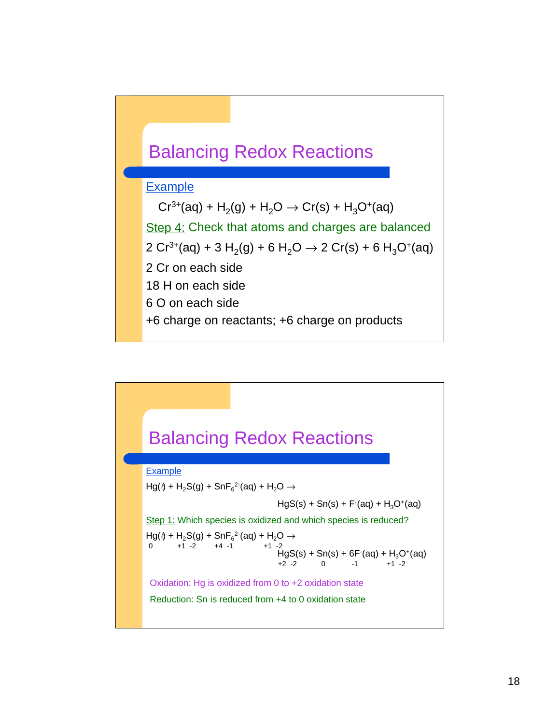

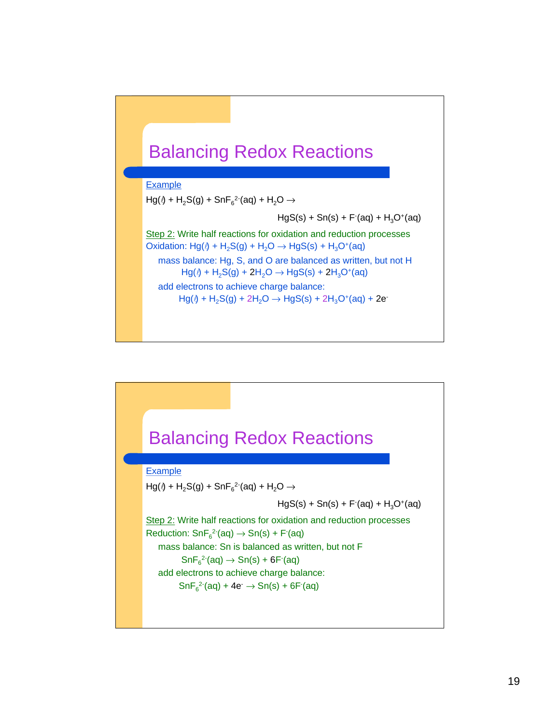



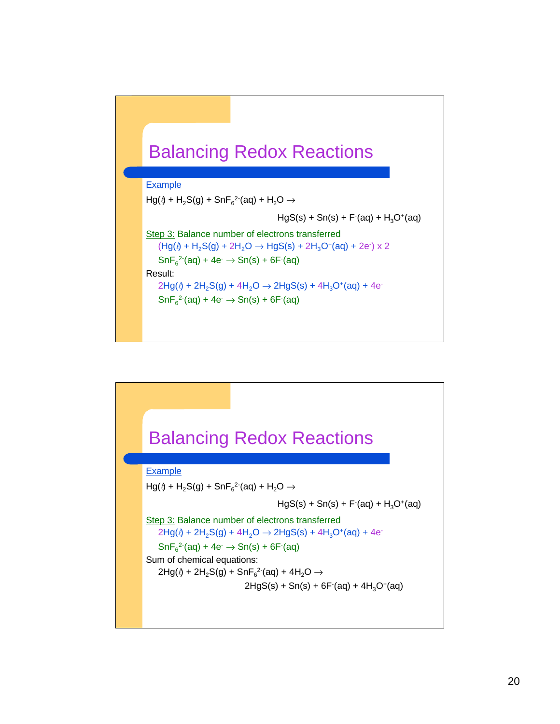## Balancing Redox Reactions